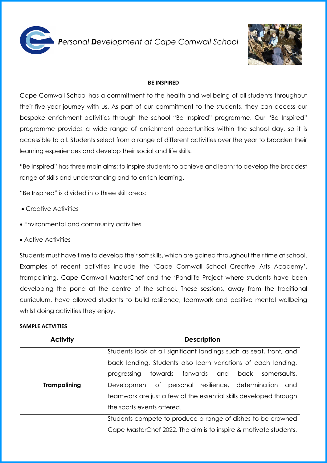

*Personal Development at Cape Cornwall School* 



## **BE INSPIRED**

Cape Cornwall School has a commitment to the health and wellbeing of all students throughout their five-year journey with us. As part of our commitment to the students, they can access our bespoke enrichment activities through the school "Be Inspired" programme. Our "Be Inspired" programme provides a wide range of enrichment opportunities within the school day, so it is accessible to all. Students select from a range of different activities over the year to broaden their learning experiences and develop their social and life skills.

"Be Inspired" has three main aims: to inspire students to achieve and learn; to develop the broadest range of skills and understanding and to enrich learning.

"Be Inspired" is divided into three skill areas:

- Creative Activities
- Environmental and community activities
- Active Activities

Students must have time to develop their soft skills, which are gained throughout their time at school. Examples of recent activities include the 'Cape Cornwall School Creative Arts Academy', trampolining, Cape Cornwall MasterChef and the 'Pondlife Project where students have been developing the pond at the centre of the school. These sessions, away from the traditional curriculum, have allowed students to build resilience, teamwork and positive mental wellbeing whilst doing activities they enjoy.

## **SAMPLE ACTVITIES**

| <b>Activity</b>     | <b>Description</b>                                                 |
|---------------------|--------------------------------------------------------------------|
|                     | Students look at all significant landings such as seat, front, and |
|                     | back landing. Students also learn variations of each landing,      |
|                     | progressing towards forwards and back somersaults.                 |
| <b>Trampolining</b> | Development of personal resilience, determination<br>and           |
|                     | teamwork are just a few of the essential skills developed through  |
|                     | the sports events offered.                                         |
|                     | Students compete to produce a range of dishes to be crowned        |
|                     | Cape MasterChef 2022. The aim is to inspire & motivate students,   |